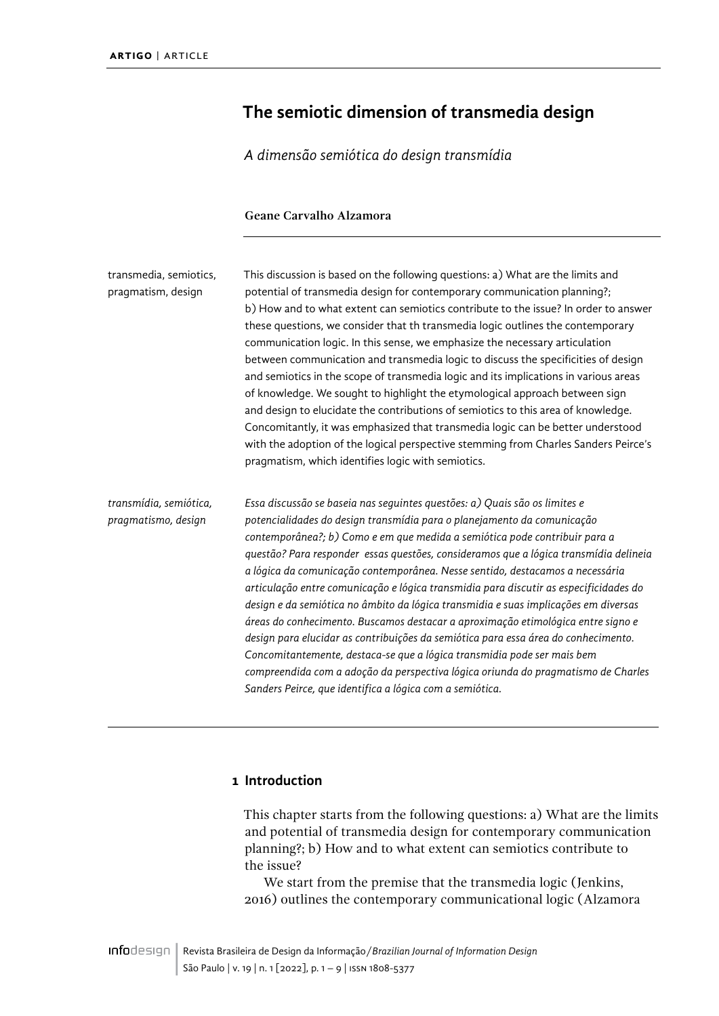# <span id="page-0-0"></span>**The semiotic dimension of transmedia design**

*A dimensão semiótica do design transmídia*

#### **Geane Carvalho Alzamora**

| transmedia, semiotics,<br>pragmatism, design  | This discussion is based on the following questions: a) What are the limits and<br>potential of transmedia design for contemporary communication planning?;<br>b) How and to what extent can semiotics contribute to the issue? In order to answer<br>these questions, we consider that th transmedia logic outlines the contemporary<br>communication logic. In this sense, we emphasize the necessary articulation<br>between communication and transmedia logic to discuss the specificities of design<br>and semiotics in the scope of transmedia logic and its implications in various areas<br>of knowledge. We sought to highlight the etymological approach between sign<br>and design to elucidate the contributions of semiotics to this area of knowledge.<br>Concomitantly, it was emphasized that transmedia logic can be better understood<br>with the adoption of the logical perspective stemming from Charles Sanders Peirce's<br>pragmatism, which identifies logic with semiotics. |
|-----------------------------------------------|-------------------------------------------------------------------------------------------------------------------------------------------------------------------------------------------------------------------------------------------------------------------------------------------------------------------------------------------------------------------------------------------------------------------------------------------------------------------------------------------------------------------------------------------------------------------------------------------------------------------------------------------------------------------------------------------------------------------------------------------------------------------------------------------------------------------------------------------------------------------------------------------------------------------------------------------------------------------------------------------------------|
| transmídia, semiótica,<br>pragmatismo, design | Essa discussão se baseia nas seguintes questões: a) Quais são os limites e<br>potencialidades do design transmídia para o planejamento da comunicação<br>contemporânea?; b) Como e em que medida a semiótica pode contribuir para a<br>questão? Para responder essas questões, consideramos que a lógica transmídia delineia<br>a lógica da comunicação contemporânea. Nesse sentido, destacamos a necessária<br>articulação entre comunicação e lógica transmidia para discutir as especificidades do<br>design e da semiótica no âmbito da lógica transmidia e suas implicações em diversas<br>áreas do conhecimento. Buscamos destacar a aproximação etimológica entre signo e<br>design para elucidar as contribuições da semiótica para essa área do conhecimento.                                                                                                                                                                                                                               |

*Concomitantemente, destaca-se que a lógica transmidia pode ser mais bem compreendida com a adoção da perspectiva lógica oriunda do pragmatismo de Charles Sanders Peirce, que identifica a lógica com a semiótica.*

## **1 Introduction**

This chapter starts from the following questions: a) What are the limits and potential of transmedia design for contemporary communication planning?; b) How and to what extent can semiotics contribute to the issue?

We start from the premise that the transmedia logic (Jenkins, 2016) outlines the contemporary communicational logic (Alzamora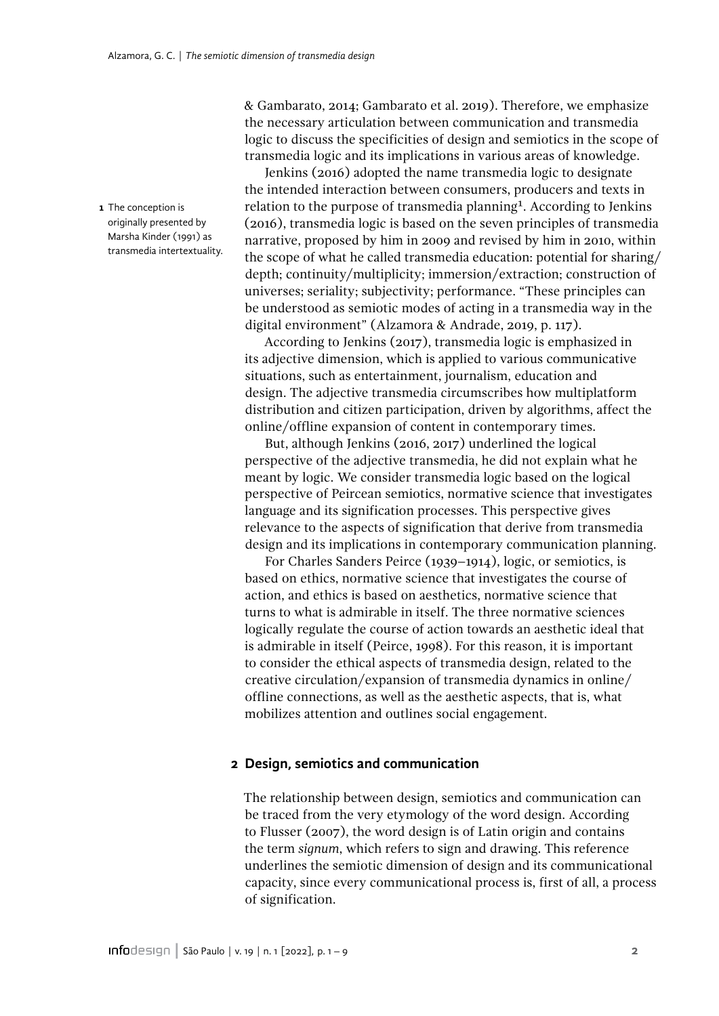<span id="page-1-0"></span>**1** The conception is originally presented by Marsha Kinder (1991) as transmedia intertextuality. & Gambarato, 2014; Gambarato et al. 2019). Therefore, we emphasize the necessary articulation between communication and transmedia logic to discuss the specificities of design and semiotics in the scope of transmedia logic and its implications in various areas of knowledge.

Jenkins (2016) adopted the name transmedia logic to designate the intended interaction between consumers, producers and texts in relation to the purpose of transmedia planning<sup>[1](#page-1-0)</sup>. According to Jenkins (2016), transmedia logic is based on the seven principles of transmedia narrative, proposed by him in 2009 and revised by him in 2010, within the scope of what he called transmedia education: potential for sharing/ depth; continuity/multiplicity; immersion/extraction; construction of universes; seriality; subjectivity; performance. "These principles can be understood as semiotic modes of acting in a transmedia way in the digital environment" (Alzamora & Andrade, 2019, p. 117).

According to Jenkins (2017), transmedia logic is emphasized in its adjective dimension, which is applied to various communicative situations, such as entertainment, journalism, education and design. The adjective transmedia circumscribes how multiplatform distribution and citizen participation, driven by algorithms, affect the online/offline expansion of content in contemporary times.

But, although Jenkins (2016, 2017) underlined the logical perspective of the adjective transmedia, he did not explain what he meant by logic. We consider transmedia logic based on the logical perspective of Peircean semiotics, normative science that investigates language and its signification processes. This perspective gives relevance to the aspects of signification that derive from transmedia design and its implications in contemporary communication planning.

For Charles Sanders Peirce (1939–1914), logic, or semiotics, is based on ethics, normative science that investigates the course of action, and ethics is based on aesthetics, normative science that turns to what is admirable in itself. The three normative sciences logically regulate the course of action towards an aesthetic ideal that is admirable in itself (Peirce, 1998). For this reason, it is important to consider the ethical aspects of transmedia design, related to the creative circulation/expansion of transmedia dynamics in online/ offline connections, as well as the aesthetic aspects, that is, what mobilizes attention and outlines social engagement.

### **2 Design, semiotics and communication**

The relationship between design, semiotics and communication can be traced from the very etymology of the word design. According to Flusser (2007), the word design is of Latin origin and contains the term *signum*, which refers to sign and drawing. This reference underlines the semiotic dimension of design and its communicational capacity, since every communicational process is, first of all, a process of signification.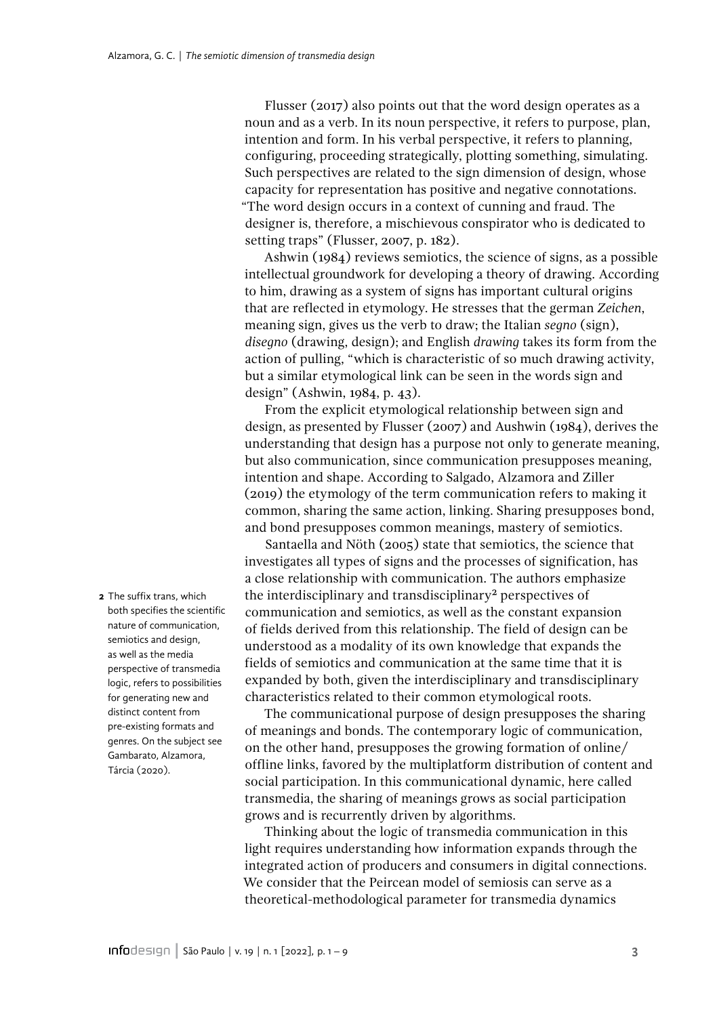Flusser (2017) also points out that the word design operates as a noun and as a verb. In its noun perspective, it refers to purpose, plan, intention and form. In his verbal perspective, it refers to planning, configuring, proceeding strategically, plotting something, simulating. Such perspectives are related to the sign dimension of design, whose capacity for representation has positive and negative connotations. "The word design occurs in a context of cunning and fraud. The designer is, therefore, a mischievous conspirator who is dedicated to setting traps" (Flusser, 2007, p. 182).

Ashwin (1984) reviews semiotics, the science of signs, as a possible intellectual groundwork for developing a theory of drawing. According to him, drawing as a system of signs has important cultural origins that are reflected in etymology. He stresses that the german *Zeichen*, meaning sign, gives us the verb to draw; the Italian *segno* (sign), *disegno* (drawing, design); and English *drawing* takes its form from the action of pulling, "which is characteristic of so much drawing activity, but a similar etymological link can be seen in the words sign and design" (Ashwin, 1984, p. 43).

From the explicit etymological relationship between sign and design, as presented by Flusser (2007) and Aushwin (1984), derives the understanding that design has a purpose not only to generate meaning, but also communication, since communication presupposes meaning, intention and shape. According to Salgado, Alzamora and Ziller (2019) the etymology of the term communication refers to making it common, sharing the same action, linking. Sharing presupposes bond, and bond presupposes common meanings, mastery of semiotics.

Santaella and Nöth (2005) state that semiotics, the science that investigates all types of signs and the processes of signification, has a close relationship with communication. The authors emphasize the interdisciplinary and transdisciplinary<sup>2</sup> perspectives of communication and semiotics, as well as the constant expansion of fields derived from this relationship. The field of design can be understood as a modality of its own knowledge that expands the fields of semiotics and communication at the same time that it is expanded by both, given the interdisciplinary and transdisciplinary characteristics related to their common etymological roots.

The communicational purpose of design presupposes the sharing of meanings and bonds. The contemporary logic of communication, on the other hand, presupposes the growing formation of online/ offline links, favored by the multiplatform distribution of content and social participation. In this communicational dynamic, here called transmedia, the sharing of meanings grows as social participation grows and is recurrently driven by algorithms.

Thinking about the logic of transmedia communication in this light requires understanding how information expands through the integrated action of producers and consumers in digital connections. We consider that the Peircean model of semiosis can serve as a theoretical-methodological parameter for transmedia dynamics

<span id="page-2-0"></span>**2** The suffix trans, which both specifies the scientific nature of communication, semiotics and design, as well as the media perspective of transmedia logic, refers to possibilities for generating new and distinct content from pre-existing formats and genres. On the subject see Gambarato, Alzamora, Tárcia (2020).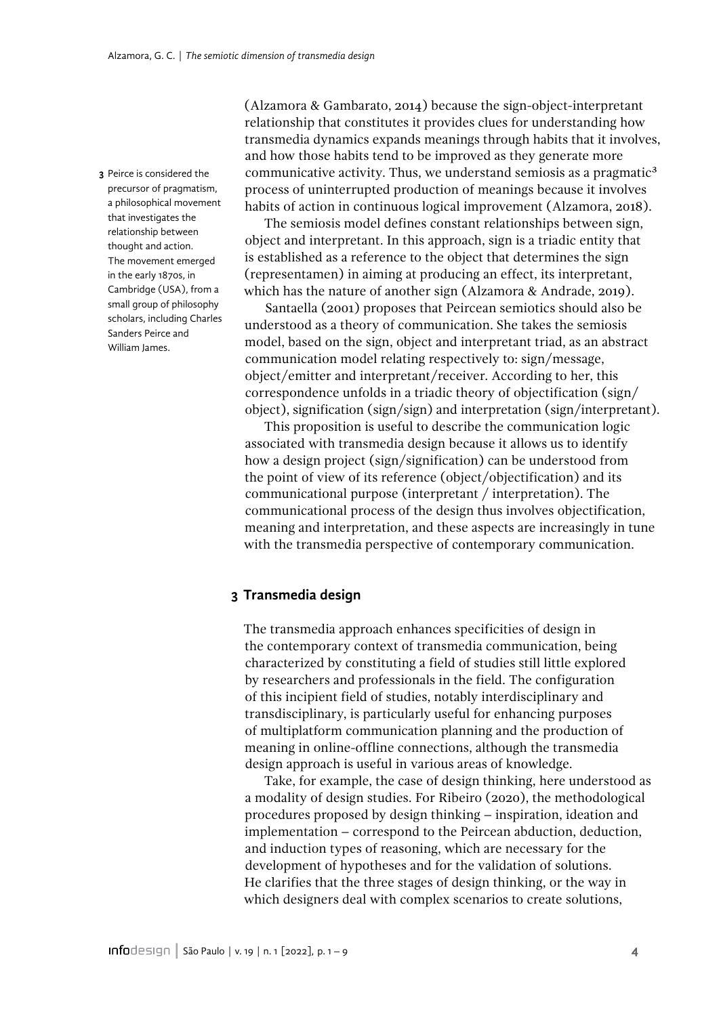<span id="page-3-0"></span>**3** Peirce is considered the precursor of pragmatism, a philosophical movement that investigates the relationship between thought and action. The movement emerged in the early 1870s, in Cambridge (USA), from a small group of philosophy scholars, including Charles Sanders Peirce and William James.

(Alzamora & Gambarato, 2014) because the sign-object-interpretant relationship that constitutes it provides clues for understanding how transmedia dynamics expands meanings through habits that it involves, and how those habits tend to be improved as they generate more communicative activity. Thus, we understand semiosis as a pragmatic<sup>[3](#page-3-0)</sup> process of uninterrupted production of meanings because it involves habits of action in continuous logical improvement (Alzamora, 2018).

The semiosis model defines constant relationships between sign, object and interpretant. In this approach, sign is a triadic entity that is established as a reference to the object that determines the sign (representamen) in aiming at producing an effect, its interpretant, which has the nature of another sign (Alzamora & Andrade, 2019).

Santaella (2001) proposes that Peircean semiotics should also be understood as a theory of communication. She takes the semiosis model, based on the sign, object and interpretant triad, as an abstract communication model relating respectively to: sign/message, object/emitter and interpretant/receiver. According to her, this correspondence unfolds in a triadic theory of objectification (sign/ object), signification (sign/sign) and interpretation (sign/interpretant).

This proposition is useful to describe the communication logic associated with transmedia design because it allows us to identify how a design project (sign/signification) can be understood from the point of view of its reference (object/objectification) and its communicational purpose (interpretant / interpretation). The communicational process of the design thus involves objectification, meaning and interpretation, and these aspects are increasingly in tune with the transmedia perspective of contemporary communication.

## **3 Transmedia design**

The transmedia approach enhances specificities of design in the contemporary context of transmedia communication, being characterized by constituting a field of studies still little explored by researchers and professionals in the field. The configuration of this incipient field of studies, notably interdisciplinary and transdisciplinary, is particularly useful for enhancing purposes of multiplatform communication planning and the production of meaning in online-offline connections, although the transmedia design approach is useful in various areas of knowledge.

Take, for example, the case of design thinking, here understood as a modality of design studies. For Ribeiro (2020), the methodological procedures proposed by design thinking – inspiration, ideation and implementation – correspond to the Peircean abduction, deduction, and induction types of reasoning, which are necessary for the development of hypotheses and for the validation of solutions. He clarifies that the three stages of design thinking, or the way in which designers deal with complex scenarios to create solutions,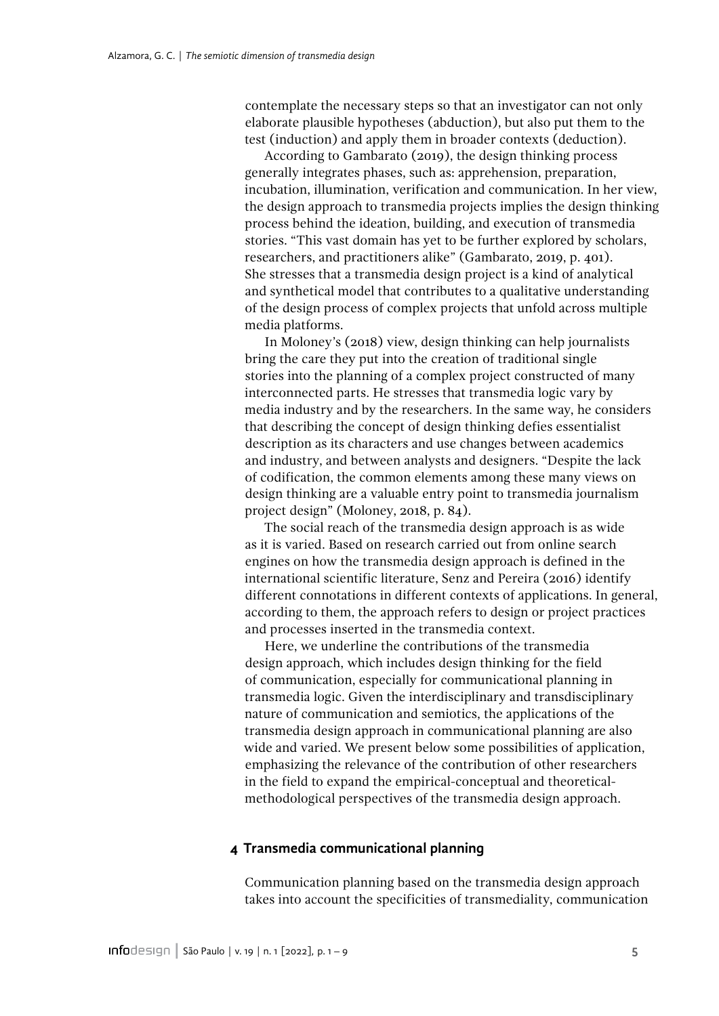contemplate the necessary steps so that an investigator can not only elaborate plausible hypotheses (abduction), but also put them to the test (induction) and apply them in broader contexts (deduction).

According to Gambarato (2019), the design thinking process generally integrates phases, such as: apprehension, preparation, incubation, illumination, verification and communication. In her view, the design approach to transmedia projects implies the design thinking process behind the ideation, building, and execution of transmedia stories. "This vast domain has yet to be further explored by scholars, researchers, and practitioners alike" (Gambarato, 2019, p. 401). She stresses that a transmedia design project is a kind of analytical and synthetical model that contributes to a qualitative understanding of the design process of complex projects that unfold across multiple media platforms.

In Moloney's (2018) view, design thinking can help journalists bring the care they put into the creation of traditional single stories into the planning of a complex project constructed of many interconnected parts. He stresses that transmedia logic vary by media industry and by the researchers. In the same way, he considers that describing the concept of design thinking defies essentialist description as its characters and use changes between academics and industry, and between analysts and designers. "Despite the lack of codification, the common elements among these many views on design thinking are a valuable entry point to transmedia journalism project design" (Moloney, 2018, p. 84).

The social reach of the transmedia design approach is as wide as it is varied. Based on research carried out from online search engines on how the transmedia design approach is defined in the international scientific literature, Senz and Pereira (2016) identify different connotations in different contexts of applications. In general, according to them, the approach refers to design or project practices and processes inserted in the transmedia context.

Here, we underline the contributions of the transmedia design approach, which includes design thinking for the field of communication, especially for communicational planning in transmedia logic. Given the interdisciplinary and transdisciplinary nature of communication and semiotics, the applications of the transmedia design approach in communicational planning are also wide and varied. We present below some possibilities of application, emphasizing the relevance of the contribution of other researchers in the field to expand the empirical-conceptual and theoreticalmethodological perspectives of the transmedia design approach.

### **4 Transmedia communicational planning**

Communication planning based on the transmedia design approach takes into account the specificities of transmediality, communication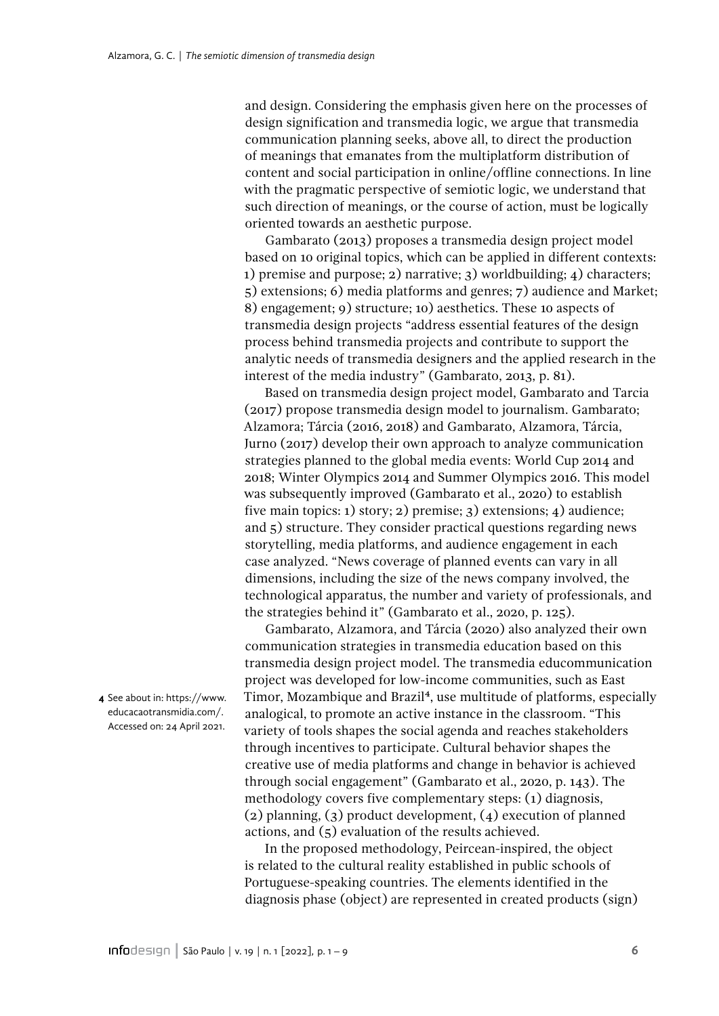and design. Considering the emphasis given here on the processes of design signification and transmedia logic, we argue that transmedia communication planning seeks, above all, to direct the production of meanings that emanates from the multiplatform distribution of content and social participation in online/offline connections. In line with the pragmatic perspective of semiotic logic, we understand that such direction of meanings, or the course of action, must be logically oriented towards an aesthetic purpose.

Gambarato (2013) proposes a transmedia design project model based on 10 original topics, which can be applied in different contexts: 1) premise and purpose; 2) narrative; 3) worldbuilding; 4) characters; 5) extensions; 6) media platforms and genres; 7) audience and Market; 8) engagement; 9) structure; 10) aesthetics. These 10 aspects of transmedia design projects "address essential features of the design process behind transmedia projects and contribute to support the analytic needs of transmedia designers and the applied research in the interest of the media industry" (Gambarato, 2013, p. 81).

Based on transmedia design project model, Gambarato and Tarcia (2017) propose transmedia design model to journalism. Gambarato; Alzamora; Tárcia (2016, 2018) and Gambarato, Alzamora, Tárcia, Jurno (2017) develop their own approach to analyze communication strategies planned to the global media events: World Cup 2014 and 2018; Winter Olympics 2014 and Summer Olympics 2016. This model was subsequently improved (Gambarato et al., 2020) to establish five main topics: 1) story; 2) premise; 3) extensions; 4) audience; and 5) structure. They consider practical questions regarding news storytelling, media platforms, and audience engagement in each case analyzed. "News coverage of planned events can vary in all dimensions, including the size of the news company involved, the technological apparatus, the number and variety of professionals, and the strategies behind it" (Gambarato et al., 2020, p. 125).

Gambarato, Alzamora, and Tárcia (2020) also analyzed their own communication strategies in transmedia education based on this transmedia design project model. The transmedia educommunication project was developed for low-income communities, such as East Timor, Mozambique and Brazil<sup>[4](#page-5-0)</sup>, use multitude of platforms, especially analogical, to promote an active instance in the classroom. "This variety of tools shapes the social agenda and reaches stakeholders through incentives to participate. Cultural behavior shapes the creative use of media platforms and change in behavior is achieved through social engagement" (Gambarato et al., 2020, p. 143). The methodology covers five complementary steps: (1) diagnosis, (2) planning, (3) product development, (4) execution of planned actions, and (5) evaluation of the results achieved.

In the proposed methodology, Peircean-inspired, the object is related to the cultural reality established in public schools of Portuguese-speaking countries. The elements identified in the diagnosis phase (object) are represented in created products (sign)

<span id="page-5-0"></span>**4** See about in: https://www. educacaotransmidia.com/. Accessed on: 24 April 2021.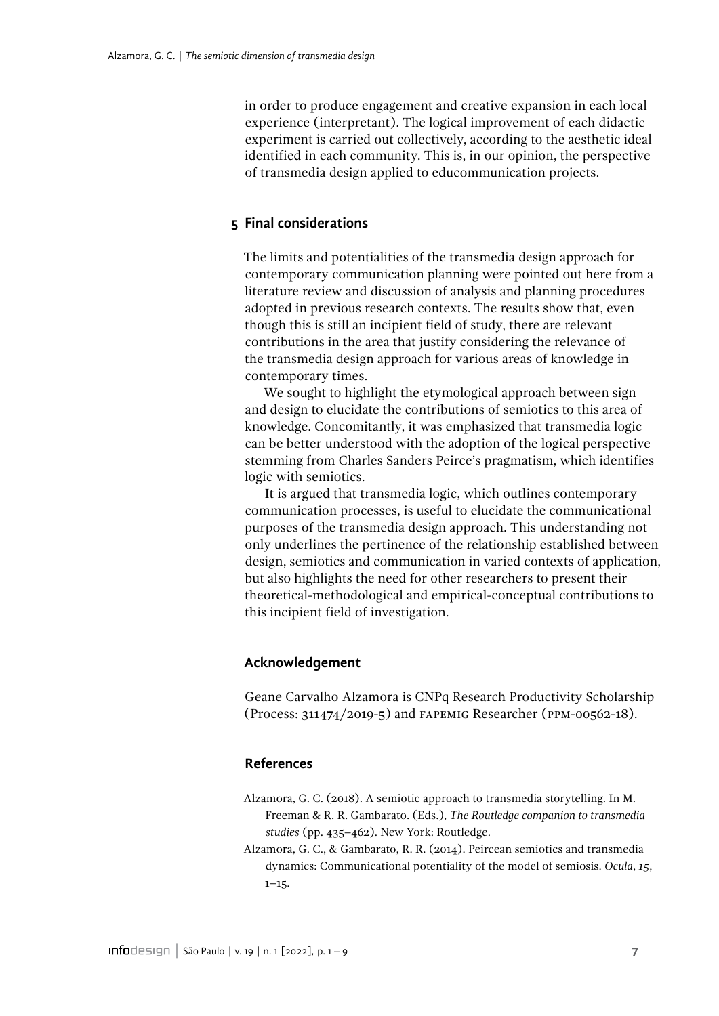in order to produce engagement and creative expansion in each local experience (interpretant). The logical improvement of each didactic experiment is carried out collectively, according to the aesthetic ideal identified in each community. This is, in our opinion, the perspective of transmedia design applied to educommunication projects.

## **5 Final considerations**

The limits and potentialities of the transmedia design approach for contemporary communication planning were pointed out here from a literature review and discussion of analysis and planning procedures adopted in previous research contexts. The results show that, even though this is still an incipient field of study, there are relevant contributions in the area that justify considering the relevance of the transmedia design approach for various areas of knowledge in contemporary times.

We sought to highlight the etymological approach between sign and design to elucidate the contributions of semiotics to this area of knowledge. Concomitantly, it was emphasized that transmedia logic can be better understood with the adoption of the logical perspective stemming from Charles Sanders Peirce's pragmatism, which identifies logic with semiotics.

It is argued that transmedia logic, which outlines contemporary communication processes, is useful to elucidate the communicational purposes of the transmedia design approach. This understanding not only underlines the pertinence of the relationship established between design, semiotics and communication in varied contexts of application, but also highlights the need for other researchers to present their theoretical-methodological and empirical-conceptual contributions to this incipient field of investigation.

### **Acknowledgement**

Geane Carvalho Alzamora is CNPq Research Productivity Scholarship (Process: 311474/2019-5) and FAPEMIG Researcher (PPM-00562-18).

## **References**

- Alzamora, G. C. (2018). A semiotic approach to transmedia storytelling. In M. Freeman & R. R. Gambarato. (Eds.), *The Routledge companion to transmedia studies* (pp. 435–462). New York: Routledge.
- Alzamora, G. C., & Gambarato, R. R. (2014). Peircean semiotics and transmedia dynamics: Communicational potentiality of the model of semiosis. *Ocula*, *15*,  $1 - 15$ .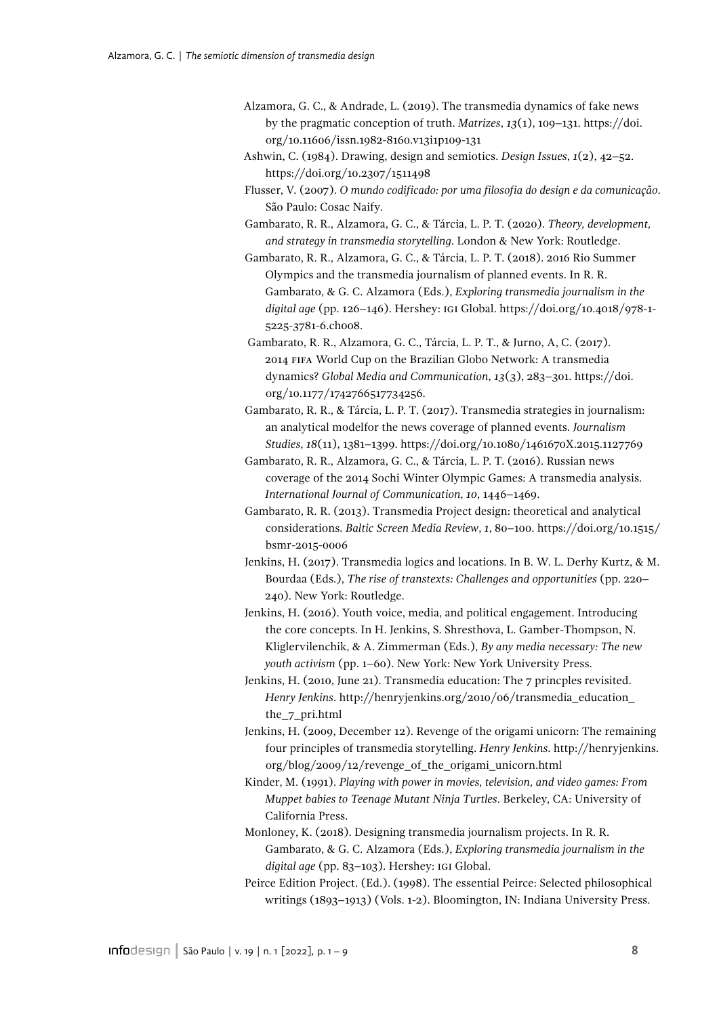- Alzamora, G. C., & Andrade, L. (2019). The transmedia dynamics of fake news by the pragmatic conception of truth. *Matrizes*, *13*(1), 109–131. [https://doi.](https://doi.org/10.11606/issn.1982-8160.v13i1p109-131) [org/10.11606/issn.1982-8160.v13i1p109-131](https://doi.org/10.11606/issn.1982-8160.v13i1p109-131)
- Ashwin, C. (1984). Drawing, design and semiotics. *Design Issues*, *1*(2), 42–52. [https://doi.org/10.2307/1511498](https://doi.org/10.2307/1511498 )
- Flusser, V. (2007). *O mundo codificado: por uma filosofia do design e da comunicação*. São Paulo: Cosac Naify.
- Gambarato, R. R., Alzamora, G. C., & Tárcia, L. P. T. (2020). *Theory, development, and strategy in transmedia storytelling*. London & New York: Routledge.
- Gambarato, R. R., Alzamora, G. C., & Tárcia, L. P. T. (2018). 2016 Rio Summer Olympics and the transmedia journalism of planned events. In R. R. Gambarato, & G. C. Alzamora (Eds.), *Exploring transmedia journalism in the digital age* (pp. 126–146). Hershey: IGI Global. [https://doi.org/10.4018/978-1-](https://doi.org/10.4018/978-1-5225-3781-6.ch008) [5225-3781-6.ch008](https://doi.org/10.4018/978-1-5225-3781-6.ch008).
- Gambarato, R. R., Alzamora, G. C., Tárcia, L. P. T., & Jurno, A, C. (2017). 2014 FIFA World Cup on the Brazilian Globo Network: A transmedia dynamics? *Global Media and Communication*, *13*(3), 283–301. [https://doi.](https://doi.org/10.1177/1742766517734256) [org/10.1177/1742766517734256](https://doi.org/10.1177/1742766517734256).
- Gambarato, R. R., & Tárcia, L. P. T. (2017). Transmedia strategies in journalism: an analytical modelfor the news coverage of planned events. *Journalism Studies*, *18*(11), 1381–1399. <https://doi.org/10.1080/1461670X.2015.1127769>
- Gambarato, R. R., Alzamora, G. C., & Tárcia, L. P. T. (2016). Russian news coverage of the 2014 Sochi Winter Olympic Games: A transmedia analysis. *International Journal of Communication*, *10*, 1446–1469.
- Gambarato, R. R. (2013). Transmedia Project design: theoretical and analytical considerations. *Baltic Screen Media Review*, *1*, 80–100. [https://doi.org/10.1515/](https://doi.org/10.1515/bsmr-2015-0006) [bsmr-2015-0006](https://doi.org/10.1515/bsmr-2015-0006)
- Jenkins, H. (2017). Transmedia logics and locations. In B. W. L. Derhy Kurtz, & M. Bourdaa (Eds.), *The rise of transtexts: Challenges and opportunities* (pp. 220– 240). New York: Routledge.
- Jenkins, H. (2016). Youth voice, media, and political engagement. Introducing the core concepts. In H. Jenkins, S. Shresthova, L. Gamber-Thompson, N. Kliglervilenchik, & A. Zimmerman (Eds.), *By any media necessary: The new youth activism* (pp. 1–60). New York: New York University Press.
- Jenkins, H. (2010, June 21). Transmedia education: The 7 princples revisited. *Henry Jenkins*. [http://henryjenkins.org/2010/06/transmedia\\_education\\_](http://henryjenkins.org/2010/06/transmedia_education_the_7_pri.html) [the\\_7\\_pri.html](http://henryjenkins.org/2010/06/transmedia_education_the_7_pri.html)
- Jenkins, H. (2009, December 12). Revenge of the origami unicorn: The remaining four principles of transmedia storytelling. *Henry Jenkins*. [http://henryjenkins.](http://henryjenkins.org/blog/2009/12/revenge_of_the_origami_unicorn.html) [org/blog/2009/12/revenge\\_of\\_the\\_origami\\_unicorn.html](http://henryjenkins.org/blog/2009/12/revenge_of_the_origami_unicorn.html)
- Kinder, M. (1991). *Playing with power in movies, television, and video games: From Muppet babies to Teenage Mutant Ninja Turtles*. Berkeley, CA: University of California Press.
- Monloney, K. (2018). Designing transmedia journalism projects. In R. R. Gambarato, & G. C. Alzamora (Eds.), *Exploring transmedia journalism in the digital age* (pp. 83–103). Hershey: IGI Global.
- Peirce Edition Project. (Ed.). (1998). The essential Peirce: Selected philosophical writings (1893–1913) (Vols. 1-2). Bloomington, IN: Indiana University Press.